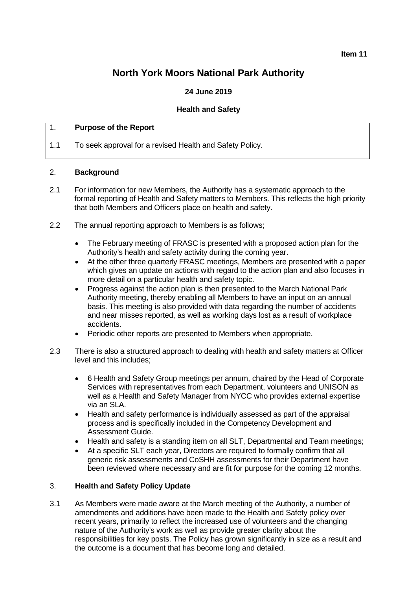#### **Item 11**

# **North York Moors National Park Authority**

# **24 June 2019**

### **Health and Safety**

## 1. **Purpose of the Report**

1.1 To seek approval for a revised Health and Safety Policy.

### 2. **Background**

- 2.1 For information for new Members, the Authority has a systematic approach to the formal reporting of Health and Safety matters to Members. This reflects the high priority that both Members and Officers place on health and safety.
- 2.2 The annual reporting approach to Members is as follows;
	- The February meeting of FRASC is presented with a proposed action plan for the Authority's health and safety activity during the coming year.
	- At the other three quarterly FRASC meetings, Members are presented with a paper which gives an update on actions with regard to the action plan and also focuses in more detail on a particular health and safety topic.
	- Progress against the action plan is then presented to the March National Park Authority meeting, thereby enabling all Members to have an input on an annual basis. This meeting is also provided with data regarding the number of accidents and near misses reported, as well as working days lost as a result of workplace accidents.
	- Periodic other reports are presented to Members when appropriate.
- 2.3 There is also a structured approach to dealing with health and safety matters at Officer level and this includes;
	- 6 Health and Safety Group meetings per annum, chaired by the Head of Corporate Services with representatives from each Department, volunteers and UNISON as well as a Health and Safety Manager from NYCC who provides external expertise via an SLA.
	- Health and safety performance is individually assessed as part of the appraisal process and is specifically included in the Competency Development and Assessment Guide.
	- Health and safety is a standing item on all SLT, Departmental and Team meetings;
	- At a specific SLT each year, Directors are required to formally confirm that all generic risk assessments and CoSHH assessments for their Department have been reviewed where necessary and are fit for purpose for the coming 12 months.

# 3. **Health and Safety Policy Update**

3.1 As Members were made aware at the March meeting of the Authority, a number of amendments and additions have been made to the Health and Safety policy over recent years, primarily to reflect the increased use of volunteers and the changing nature of the Authority's work as well as provide greater clarity about the responsibilities for key posts. The Policy has grown significantly in size as a result and the outcome is a document that has become long and detailed.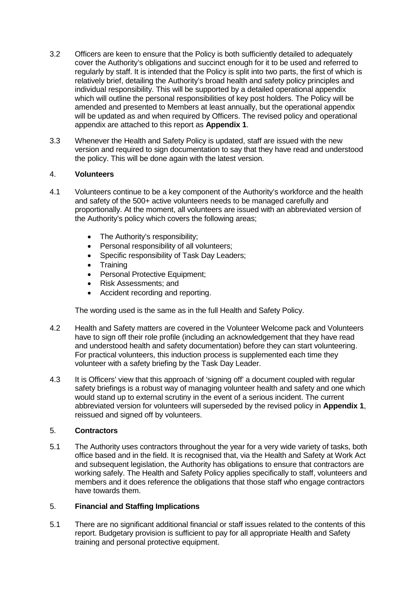- 3.2 Officers are keen to ensure that the Policy is both sufficiently detailed to adequately cover the Authority's obligations and succinct enough for it to be used and referred to regularly by staff. It is intended that the Policy is split into two parts, the first of which is relatively brief, detailing the Authority's broad health and safety policy principles and individual responsibility. This will be supported by a detailed operational appendix which will outline the personal responsibilities of key post holders. The Policy will be amended and presented to Members at least annually, but the operational appendix will be updated as and when required by Officers. The revised policy and operational appendix are attached to this report as **Appendix 1**.
- 3.3 Whenever the Health and Safety Policy is updated, staff are issued with the new version and required to sign documentation to say that they have read and understood the policy. This will be done again with the latest version.

## 4. **Volunteers**

- 4.1 Volunteers continue to be a key component of the Authority's workforce and the health and safety of the 500+ active volunteers needs to be managed carefully and proportionally. At the moment, all volunteers are issued with an abbreviated version of the Authority's policy which covers the following areas;
	- The Authority's responsibility:
	- Personal responsibility of all volunteers;
	- Specific responsibility of Task Day Leaders;
	- Training
	- Personal Protective Equipment;
	- Risk Assessments; and
	- Accident recording and reporting.

The wording used is the same as in the full Health and Safety Policy.

- 4.2 Health and Safety matters are covered in the Volunteer Welcome pack and Volunteers have to sign off their role profile (including an acknowledgement that they have read and understood health and safety documentation) before they can start volunteering. For practical volunteers, this induction process is supplemented each time they volunteer with a safety briefing by the Task Day Leader.
- 4.3 It is Officers' view that this approach of 'signing off' a document coupled with regular safety briefings is a robust way of managing volunteer health and safety and one which would stand up to external scrutiny in the event of a serious incident. The current abbreviated version for volunteers will superseded by the revised policy in **Appendix 1**, reissued and signed off by volunteers.

## 5. **Contractors**

5.1 The Authority uses contractors throughout the year for a very wide variety of tasks, both office based and in the field. It is recognised that, via the Health and Safety at Work Act and subsequent legislation, the Authority has obligations to ensure that contractors are working safely. The Health and Safety Policy applies specifically to staff, volunteers and members and it does reference the obligations that those staff who engage contractors have towards them.

## 5. **Financial and Staffing Implications**

5.1 There are no significant additional financial or staff issues related to the contents of this report. Budgetary provision is sufficient to pay for all appropriate Health and Safety training and personal protective equipment.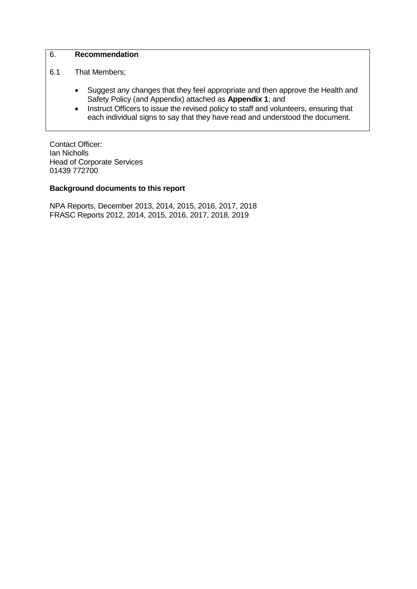## 6. **Recommendation**

- 6.1 That Members;
	- Suggest any changes that they feel appropriate and then approve the Health and Safety Policy (and Appendix) attached as **Appendix 1**; and
	- Instruct Officers to issue the revised policy to staff and volunteers, ensuring that each individual signs to say that they have read and understood the document.

Contact Officer: Ian Nicholls Head of Corporate Services 01439 772700

## **Background documents to this report**

NPA Reports, December 2013, 2014, 2015, 2016, 2017, 2018 FRASC Reports 2012, 2014, 2015, 2016, 2017, 2018, 2019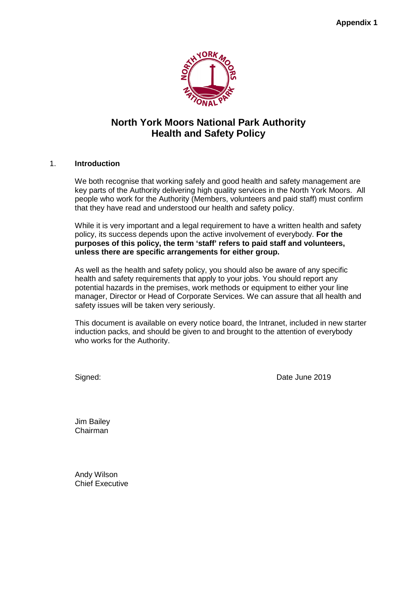

# **North York Moors National Park Authority Health and Safety Policy**

## 1. **Introduction**

We both recognise that working safely and good health and safety management are key parts of the Authority delivering high quality services in the North York Moors. All people who work for the Authority (Members, volunteers and paid staff) must confirm that they have read and understood our health and safety policy.

While it is very important and a legal requirement to have a written health and safety policy, its success depends upon the active involvement of everybody. **For the purposes of this policy, the term 'staff' refers to paid staff and volunteers, unless there are specific arrangements for either group.**

As well as the health and safety policy, you should also be aware of any specific health and safety requirements that apply to your jobs. You should report any potential hazards in the premises, work methods or equipment to either your line manager, Director or Head of Corporate Services. We can assure that all health and safety issues will be taken very seriously.

This document is available on every notice board, the Intranet, included in new starter induction packs, and should be given to and brought to the attention of everybody who works for the Authority.

Signed: **Date June 2019** 

Jim Bailey Chairman

Andy Wilson Chief Executive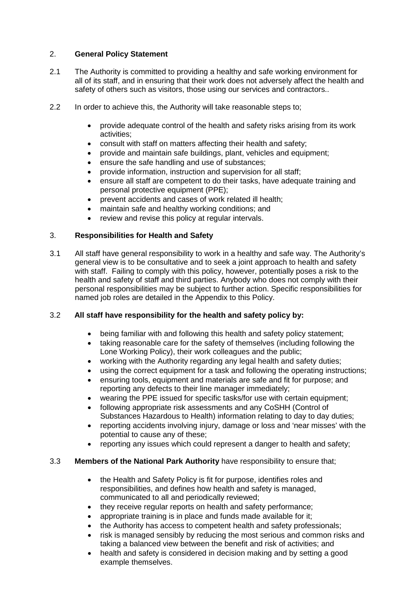# 2. **General Policy Statement**

- 2.1 The Authority is committed to providing a healthy and safe working environment for all of its staff, and in ensuring that their work does not adversely affect the health and safety of others such as visitors, those using our services and contractors..
- 2.2 In order to achieve this, the Authority will take reasonable steps to:
	- provide adequate control of the health and safety risks arising from its work activities;
	- consult with staff on matters affecting their health and safety;
	- provide and maintain safe buildings, plant, vehicles and equipment;
	- ensure the safe handling and use of substances;
	- provide information, instruction and supervision for all staff;
	- ensure all staff are competent to do their tasks, have adequate training and personal protective equipment (PPE);
	- prevent accidents and cases of work related ill health;
	- maintain safe and healthy working conditions; and
	- review and revise this policy at regular intervals.

# 3. **Responsibilities for Health and Safety**

3.1 All staff have general responsibility to work in a healthy and safe way. The Authority's general view is to be consultative and to seek a joint approach to health and safety with staff. Failing to comply with this policy, however, potentially poses a risk to the health and safety of staff and third parties. Anybody who does not comply with their personal responsibilities may be subject to further action. Specific responsibilities for named job roles are detailed in the Appendix to this Policy.

## 3.2 **All staff have responsibility for the health and safety policy by:**

- being familiar with and following this health and safety policy statement;
- taking reasonable care for the safety of themselves (including following the Lone Working Policy), their work colleagues and the public;
- working with the Authority regarding any legal health and safety duties;
- using the correct equipment for a task and following the operating instructions;
- ensuring tools, equipment and materials are safe and fit for purpose; and reporting any defects to their line manager immediately;
- wearing the PPE issued for specific tasks/for use with certain equipment;
- following appropriate risk assessments and any CoSHH (Control of Substances Hazardous to Health) information relating to day to day duties;
- reporting accidents involving injury, damage or loss and 'near misses' with the potential to cause any of these;
- reporting any issues which could represent a danger to health and safety:

#### 3.3 **Members of the National Park Authority** have responsibility to ensure that;

- the Health and Safety Policy is fit for purpose, identifies roles and responsibilities, and defines how health and safety is managed, communicated to all and periodically reviewed;
- they receive regular reports on health and safety performance;
- appropriate training is in place and funds made available for it;
- the Authority has access to competent health and safety professionals;
- risk is managed sensibly by reducing the most serious and common risks and taking a balanced view between the benefit and risk of activities; and
- health and safety is considered in decision making and by setting a good example themselves.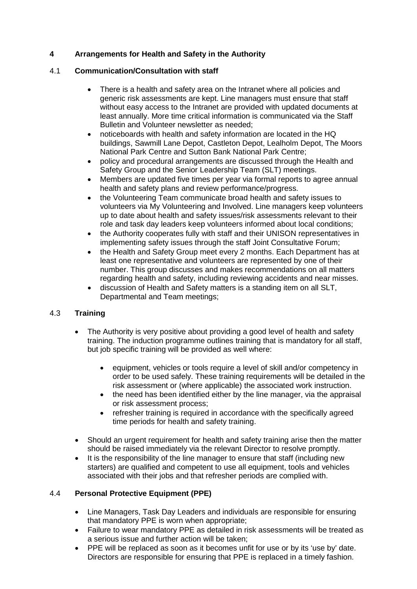# **4 Arrangements for Health and Safety in the Authority**

# 4.1 **Communication/Consultation with staff**

- There is a health and safety area on the Intranet where all policies and generic risk assessments are kept. Line managers must ensure that staff without easy access to the Intranet are provided with updated documents at least annually. More time critical information is communicated via the Staff Bulletin and Volunteer newsletter as needed;
- noticeboards with health and safety information are located in the HQ buildings, Sawmill Lane Depot, Castleton Depot, Lealholm Depot, The Moors National Park Centre and Sutton Bank National Park Centre;
- policy and procedural arrangements are discussed through the Health and Safety Group and the Senior Leadership Team (SLT) meetings.
- Members are updated five times per year via formal reports to agree annual health and safety plans and review performance/progress.
- the Volunteering Team communicate broad health and safety issues to volunteers via My Volunteering and Involved. Line managers keep volunteers up to date about health and safety issues/risk assessments relevant to their role and task day leaders keep volunteers informed about local conditions;
- the Authority cooperates fully with staff and their UNISON representatives in implementing safety issues through the staff Joint Consultative Forum;
- the Health and Safety Group meet every 2 months. Each Department has at least one representative and volunteers are represented by one of their number. This group discusses and makes recommendations on all matters regarding health and safety, including reviewing accidents and near misses.
- discussion of Health and Safety matters is a standing item on all SLT, Departmental and Team meetings;

# 4.3 **Training**

- The Authority is very positive about providing a good level of health and safety training. The induction programme outlines training that is mandatory for all staff, but job specific training will be provided as well where:
	- equipment, vehicles or tools require a level of skill and/or competency in order to be used safely. These training requirements will be detailed in the risk assessment or (where applicable) the associated work instruction.
	- the need has been identified either by the line manager, via the appraisal or risk assessment process;
	- refresher training is required in accordance with the specifically agreed time periods for health and safety training.
- Should an urgent requirement for health and safety training arise then the matter should be raised immediately via the relevant Director to resolve promptly.
- It is the responsibility of the line manager to ensure that staff (including new starters) are qualified and competent to use all equipment, tools and vehicles associated with their jobs and that refresher periods are complied with.

# 4.4 **Personal Protective Equipment (PPE)**

- Line Managers, Task Day Leaders and individuals are responsible for ensuring that mandatory PPE is worn when appropriate;
- Failure to wear mandatory PPE as detailed in risk assessments will be treated as a serious issue and further action will be taken;
- PPE will be replaced as soon as it becomes unfit for use or by its 'use by' date. Directors are responsible for ensuring that PPE is replaced in a timely fashion.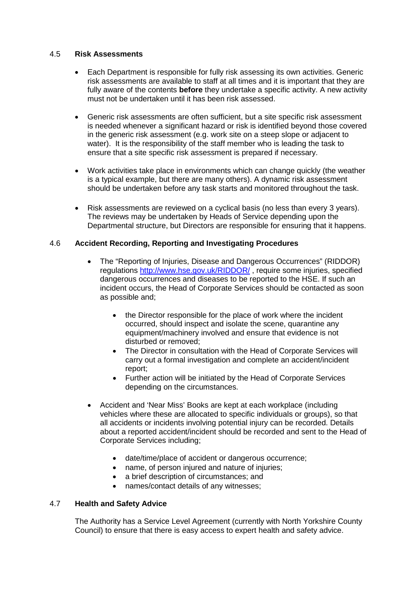## 4.5 **Risk Assessments**

- Each Department is responsible for fully risk assessing its own activities. Generic risk assessments are available to staff at all times and it is important that they are fully aware of the contents **before** they undertake a specific activity. A new activity must not be undertaken until it has been risk assessed.
- Generic risk assessments are often sufficient, but a site specific risk assessment is needed whenever a significant hazard or risk is identified beyond those covered in the generic risk assessment (e.g. work site on a steep slope or adjacent to water). It is the responsibility of the staff member who is leading the task to ensure that a site specific risk assessment is prepared if necessary.
- Work activities take place in environments which can change quickly (the weather is a typical example, but there are many others). A dynamic risk assessment should be undertaken before any task starts and monitored throughout the task.
- Risk assessments are reviewed on a cyclical basis (no less than every 3 years). The reviews may be undertaken by Heads of Service depending upon the Departmental structure, but Directors are responsible for ensuring that it happens.

# 4.6 **Accident Recording, Reporting and Investigating Procedures**

- The "Reporting of Injuries, Disease and Dangerous Occurrences" (RIDDOR) regulations <http://www.hse.gov.uk/RIDDOR/> , require some injuries, specified dangerous occurrences and diseases to be reported to the HSE. If such an incident occurs, the Head of Corporate Services should be contacted as soon as possible and;
	- the Director responsible for the place of work where the incident occurred, should inspect and isolate the scene, quarantine any equipment/machinery involved and ensure that evidence is not disturbed or removed;
	- The Director in consultation with the Head of Corporate Services will carry out a formal investigation and complete an accident/incident report;
	- Further action will be initiated by the Head of Corporate Services depending on the circumstances.
- Accident and 'Near Miss' Books are kept at each workplace (including vehicles where these are allocated to specific individuals or groups), so that all accidents or incidents involving potential injury can be recorded. Details about a reported accident/incident should be recorded and sent to the Head of Corporate Services including;
	- date/time/place of accident or dangerous occurrence;
	- name, of person injured and nature of injuries;
	- a brief description of circumstances; and
	- names/contact details of any witnesses;

# 4.7 **Health and Safety Advice**

The Authority has a Service Level Agreement (currently with North Yorkshire County Council) to ensure that there is easy access to expert health and safety advice.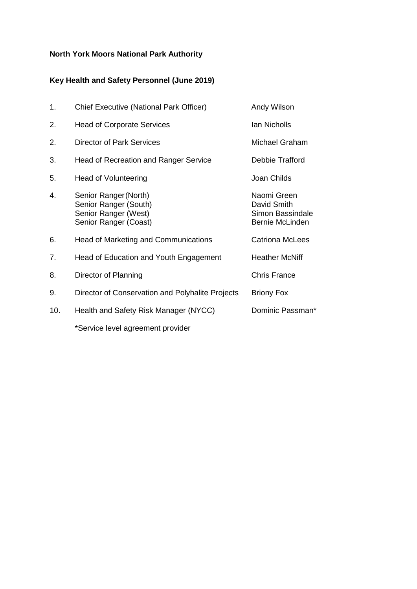# **North York Moors National Park Authority**

# **Key Health and Safety Personnel (June 2019)**

| 1.  | Chief Executive (National Park Officer)                                                         | Andy Wilson                                                              |
|-----|-------------------------------------------------------------------------------------------------|--------------------------------------------------------------------------|
| 2.  | <b>Head of Corporate Services</b>                                                               | Ian Nicholls                                                             |
| 2.  | <b>Director of Park Services</b>                                                                | Michael Graham                                                           |
| 3.  | Head of Recreation and Ranger Service                                                           | Debbie Trafford                                                          |
| 5.  | <b>Head of Volunteering</b>                                                                     | Joan Childs                                                              |
| 4.  | Senior Ranger (North)<br>Senior Ranger (South)<br>Senior Ranger (West)<br>Senior Ranger (Coast) | Naomi Green<br>David Smith<br>Simon Bassindale<br><b>Bernie McLinden</b> |
| 6.  | Head of Marketing and Communications                                                            | <b>Catriona McLees</b>                                                   |
| 7.  | Head of Education and Youth Engagement                                                          | <b>Heather McNiff</b>                                                    |
| 8.  | Director of Planning                                                                            | <b>Chris France</b>                                                      |
| 9.  | Director of Conservation and Polyhalite Projects                                                | <b>Briony Fox</b>                                                        |
| 10. | Health and Safety Risk Manager (NYCC)                                                           | Dominic Passman*                                                         |
|     |                                                                                                 |                                                                          |

\*Service level agreement provider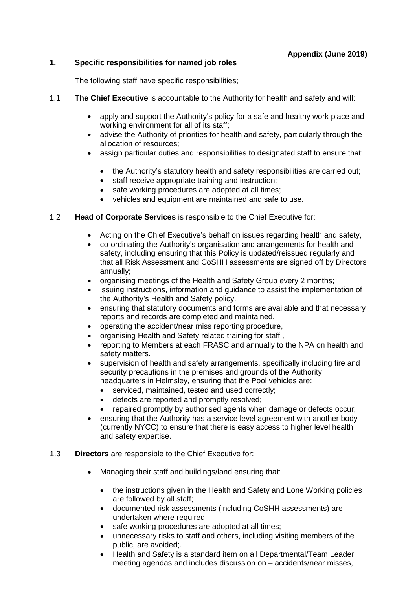# **1. Specific responsibilities for named job roles**

The following staff have specific responsibilities;

- 1.1 **The Chief Executive** is accountable to the Authority for health and safety and will:
	- apply and support the Authority's policy for a safe and healthy work place and working environment for all of its staff;
	- advise the Authority of priorities for health and safety, particularly through the allocation of resources;
	- assign particular duties and responsibilities to designated staff to ensure that:
		- the Authority's statutory health and safety responsibilities are carried out;
		- staff receive appropriate training and instruction;
		- safe working procedures are adopted at all times;
		- vehicles and equipment are maintained and safe to use.

# 1.2 **Head of Corporate Services** is responsible to the Chief Executive for:

- Acting on the Chief Executive's behalf on issues regarding health and safety,
- co-ordinating the Authority's organisation and arrangements for health and safety, including ensuring that this Policy is updated/reissued regularly and that all Risk Assessment and CoSHH assessments are signed off by Directors annually;
- organising meetings of the Health and Safety Group every 2 months;
- issuing instructions, information and guidance to assist the implementation of the Authority's Health and Safety policy.
- ensuring that statutory documents and forms are available and that necessary reports and records are completed and maintained,
- operating the accident/near miss reporting procedure,
- organising Health and Safety related training for staff ,
- reporting to Members at each FRASC and annually to the NPA on health and safety matters.
- supervision of health and safety arrangements, specifically including fire and security precautions in the premises and grounds of the Authority headquarters in Helmsley, ensuring that the Pool vehicles are:
	- serviced, maintained, tested and used correctly;
	- defects are reported and promptly resolved;
	- repaired promptly by authorised agents when damage or defects occur;
- ensuring that the Authority has a service level agreement with another body (currently NYCC) to ensure that there is easy access to higher level health and safety expertise.
- 1.3 **Directors** are responsible to the Chief Executive for:
	- Managing their staff and buildings/land ensuring that:
		- the instructions given in the Health and Safety and Lone Working policies are followed by all staff;
		- documented risk assessments (including CoSHH assessments) are undertaken where required;
		- safe working procedures are adopted at all times;
		- unnecessary risks to staff and others, including visiting members of the public, are avoided;.
		- Health and Safety is a standard item on all Departmental/Team Leader meeting agendas and includes discussion on – accidents/near misses,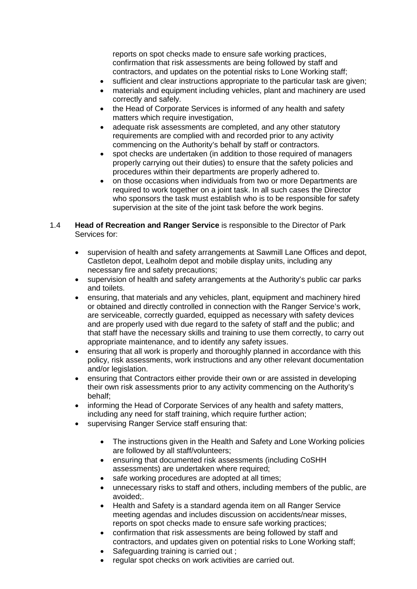reports on spot checks made to ensure safe working practices, confirmation that risk assessments are being followed by staff and contractors, and updates on the potential risks to Lone Working staff;

- sufficient and clear instructions appropriate to the particular task are given;
- materials and equipment including vehicles, plant and machinery are used correctly and safely.
- the Head of Corporate Services is informed of any health and safety matters which require investigation,
- adequate risk assessments are completed, and any other statutory requirements are complied with and recorded prior to any activity commencing on the Authority's behalf by staff or contractors.
- spot checks are undertaken (in addition to those required of managers properly carrying out their duties) to ensure that the safety policies and procedures within their departments are properly adhered to.
- on those occasions when individuals from two or more Departments are required to work together on a joint task. In all such cases the Director who sponsors the task must establish who is to be responsible for safety supervision at the site of the joint task before the work begins.

#### 1.4 **Head of Recreation and Ranger Service** is responsible to the Director of Park Services for:

- supervision of health and safety arrangements at Sawmill Lane Offices and depot, Castleton depot, Lealholm depot and mobile display units, including any necessary fire and safety precautions;
- supervision of health and safety arrangements at the Authority's public car parks and toilets.
- ensuring, that materials and any vehicles, plant, equipment and machinery hired or obtained and directly controlled in connection with the Ranger Service's work, are serviceable, correctly guarded, equipped as necessary with safety devices and are properly used with due regard to the safety of staff and the public; and that staff have the necessary skills and training to use them correctly, to carry out appropriate maintenance, and to identify any safety issues.
- ensuring that all work is properly and thoroughly planned in accordance with this policy, risk assessments, work instructions and any other relevant documentation and/or legislation.
- ensuring that Contractors either provide their own or are assisted in developing their own risk assessments prior to any activity commencing on the Authority's behalf;
- informing the Head of Corporate Services of any health and safety matters, including any need for staff training, which require further action;
- supervising Ranger Service staff ensuring that:
	- The instructions given in the Health and Safety and Lone Working policies are followed by all staff/volunteers;
	- ensuring that documented risk assessments (including CoSHH assessments) are undertaken where required;
	- safe working procedures are adopted at all times;
	- unnecessary risks to staff and others, including members of the public, are avoided;.
	- Health and Safety is a standard agenda item on all Ranger Service meeting agendas and includes discussion on accidents/near misses, reports on spot checks made to ensure safe working practices;
	- confirmation that risk assessments are being followed by staff and contractors, and updates given on potential risks to Lone Working staff;
	- Safeguarding training is carried out ;
	- regular spot checks on work activities are carried out.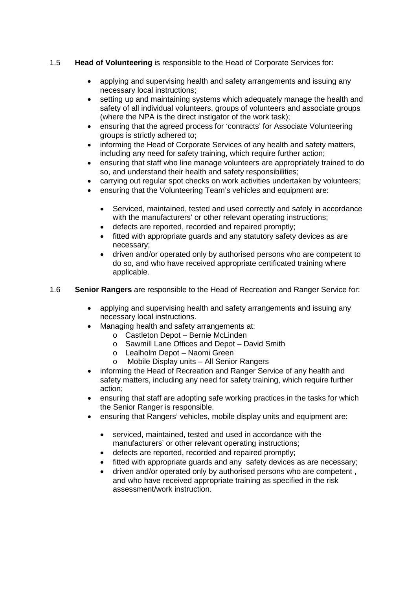# 1.5 **Head of Volunteering** is responsible to the Head of Corporate Services for:

- applying and supervising health and safety arrangements and issuing any necessary local instructions;
- setting up and maintaining systems which adequately manage the health and safety of all individual volunteers, groups of volunteers and associate groups (where the NPA is the direct instigator of the work task);
- ensuring that the agreed process for 'contracts' for Associate Volunteering groups is strictly adhered to;
- informing the Head of Corporate Services of any health and safety matters, including any need for safety training, which require further action;
- ensuring that staff who line manage volunteers are appropriately trained to do so, and understand their health and safety responsibilities;
- carrying out regular spot checks on work activities undertaken by volunteers;
- ensuring that the Volunteering Team's vehicles and equipment are:
	- Serviced, maintained, tested and used correctly and safely in accordance with the manufacturers' or other relevant operating instructions;
	- defects are reported, recorded and repaired promptly;
	- fitted with appropriate guards and any statutory safety devices as are necessary;
	- driven and/or operated only by authorised persons who are competent to do so, and who have received appropriate certificated training where applicable.
- 1.6 **Senior Rangers** are responsible to the Head of Recreation and Ranger Service for:
	- applying and supervising health and safety arrangements and issuing any necessary local instructions.
	- Managing health and safety arrangements at:
		- o Castleton Depot Bernie McLinden
		- o Sawmill Lane Offices and Depot David Smith
		- o Lealholm Depot Naomi Green
		- o Mobile Display units All Senior Rangers
	- informing the Head of Recreation and Ranger Service of any health and safety matters, including any need for safety training, which require further action;
	- ensuring that staff are adopting safe working practices in the tasks for which the Senior Ranger is responsible.
	- ensuring that Rangers' vehicles, mobile display units and equipment are:
		- serviced, maintained, tested and used in accordance with the manufacturers' or other relevant operating instructions;
		- defects are reported, recorded and repaired promptly;
		- fitted with appropriate guards and any safety devices as are necessary;
		- driven and/or operated only by authorised persons who are competent , and who have received appropriate training as specified in the risk assessment/work instruction.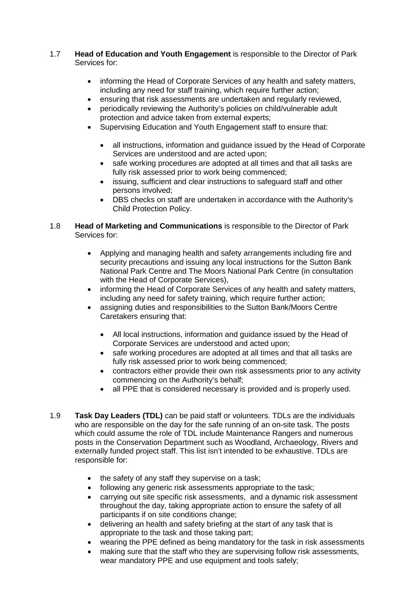- 1.7 **Head of Education and Youth Engagement** is responsible to the Director of Park Services for:
	- informing the Head of Corporate Services of any health and safety matters, including any need for staff training, which require further action;
	- ensuring that risk assessments are undertaken and regularly reviewed,
	- periodically reviewing the Authority's policies on child/vulnerable adult protection and advice taken from external experts;
	- Supervising Education and Youth Engagement staff to ensure that:
		- all instructions, information and guidance issued by the Head of Corporate Services are understood and are acted upon;
		- safe working procedures are adopted at all times and that all tasks are fully risk assessed prior to work being commenced;
		- issuing, sufficient and clear instructions to safeguard staff and other persons involved;
		- DBS checks on staff are undertaken in accordance with the Authority's Child Protection Policy.
- 1.8 **Head of Marketing and Communications** is responsible to the Director of Park Services for:
	- Applying and managing health and safety arrangements including fire and security precautions and issuing any local instructions for the Sutton Bank National Park Centre and The Moors National Park Centre (in consultation with the Head of Corporate Services),
	- informing the Head of Corporate Services of any health and safety matters, including any need for safety training, which require further action;
	- assigning duties and responsibilities to the Sutton Bank/Moors Centre Caretakers ensuring that:
		- All local instructions, information and guidance issued by the Head of Corporate Services are understood and acted upon;
		- safe working procedures are adopted at all times and that all tasks are fully risk assessed prior to work being commenced;
		- contractors either provide their own risk assessments prior to any activity commencing on the Authority's behalf;
		- all PPE that is considered necessary is provided and is properly used.
- 1.9 **Task Day Leaders (TDL)** can be paid staff or volunteers. TDLs are the individuals who are responsible on the day for the safe running of an on-site task. The posts which could assume the role of TDL include Maintenance Rangers and numerous posts in the Conservation Department such as Woodland, Archaeology, Rivers and externally funded project staff. This list isn't intended to be exhaustive. TDLs are responsible for:
	- the safety of any staff they supervise on a task;
	- following any generic risk assessments appropriate to the task;
	- carrying out site specific risk assessments, and a dynamic risk assessment throughout the day, taking appropriate action to ensure the safety of all participants if on site conditions change;
	- delivering an health and safety briefing at the start of any task that is appropriate to the task and those taking part;
	- wearing the PPE defined as being mandatory for the task in risk assessments
	- making sure that the staff who they are supervising follow risk assessments, wear mandatory PPE and use equipment and tools safely;